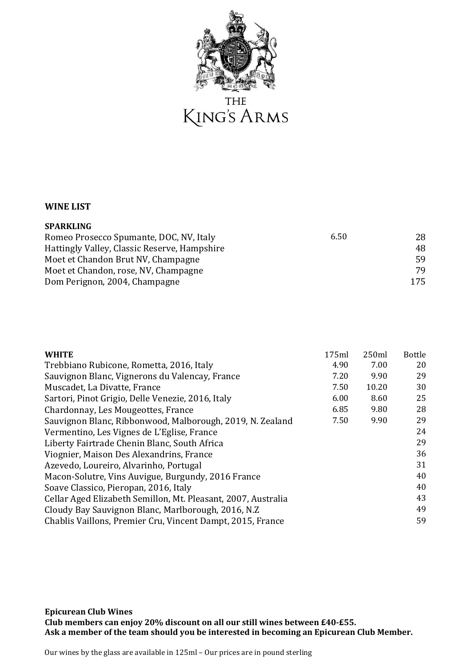

**THE** KING'S ARMS

## **WINE LIST**

| <b>SPARKLING</b>                             |            |
|----------------------------------------------|------------|
| Romeo Prosecco Spumante, DOC, NV, Italy      | 6.50<br>28 |
| Hattingly Valley, Classic Reserve, Hampshire | 48         |
| Moet et Chandon Brut NV, Champagne           | 59         |
| Moet et Chandon, rose, NV, Champagne         | 79         |
| Dom Perignon, 2004, Champagne                | 175        |

| <b>WHITE</b>                                                  | 175ml | 250ml | <b>Bottle</b> |
|---------------------------------------------------------------|-------|-------|---------------|
| Trebbiano Rubicone, Rometta, 2016, Italy                      | 4.90  | 7.00  | 20            |
| Sauvignon Blanc, Vignerons du Valencay, France                | 7.20  | 9.90  | 29            |
| Muscadet, La Divatte, France                                  | 7.50  | 10.20 | 30            |
| Sartori, Pinot Grigio, Delle Venezie, 2016, Italy             | 6.00  | 8.60  | 25            |
| Chardonnay, Les Mougeottes, France                            | 6.85  | 9.80  | 28            |
| Sauvignon Blanc, Ribbonwood, Malborough, 2019, N. Zealand     | 7.50  | 9.90  | 29            |
| Vermentino, Les Vignes de L'Eglise, France                    |       |       | 24            |
| Liberty Fairtrade Chenin Blanc, South Africa                  |       |       | 29            |
| Viognier, Maison Des Alexandrins, France                      |       |       | 36            |
| Azevedo, Loureiro, Alvarinho, Portugal                        |       |       | 31            |
| Macon-Solutre, Vins Auvigue, Burgundy, 2016 France            |       |       | 40            |
| Soave Classico, Pieropan, 2016, Italy                         |       |       | 40            |
| Cellar Aged Elizabeth Semillon, Mt. Pleasant, 2007, Australia |       |       | 43            |
| Cloudy Bay Sauvignon Blanc, Marlborough, 2016, N.Z.           |       |       | 49            |
| Chablis Vaillons, Premier Cru, Vincent Dampt, 2015, France    |       |       | 59            |

**Epicurean Club Wines Club members can enjoy 20% discount on all our still wines between £40-£55. Ask a member of the team should you be interested in becoming an Epicurean Club Member.**

Our wines by the glass are available in 125ml – Our prices are in pound sterling